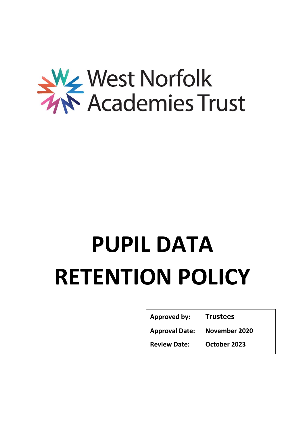

# **PUPIL DATA RETENTION POLICY**

| <b>Approved by:</b>   | <b>Trustees</b> |
|-----------------------|-----------------|
| <b>Approval Date:</b> | November 2020   |
| <b>Review Date:</b>   | October 2023    |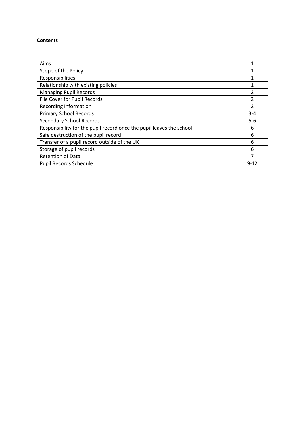#### **Contents**

| Aims                                                                 |               |
|----------------------------------------------------------------------|---------------|
| Scope of the Policy                                                  |               |
| Responsibilities                                                     |               |
| Relationship with existing policies                                  |               |
| <b>Managing Pupil Records</b>                                        | 2             |
| File Cover for Pupil Records                                         | フ             |
| <b>Recording Information</b>                                         | $\mathcal{P}$ |
| <b>Primary School Records</b>                                        | $3 - 4$       |
| <b>Secondary School Records</b>                                      | $5-6$         |
| Responsibility for the pupil record once the pupil leaves the school | 6             |
| Safe destruction of the pupil record                                 | 6             |
| Transfer of a pupil record outside of the UK                         | 6             |
| Storage of pupil records                                             | 6             |
| <b>Retention of Data</b>                                             | ᄀ             |
| <b>Pupil Records Schedule</b>                                        | $9 - 12$      |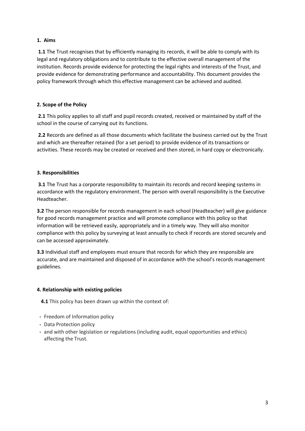# **1. Aims**

1.1 The Trust recognises that by efficiently managing its records, it will be able to comply with its legal and regulatory obligations and to contribute to the effective overall management of the institution. Records provide evidence for protecting the legal rights and interests of the Trust, and provide evidence for demonstrating performance and accountability. This document provides the policy framework through which this effective management can be achieved and audited.

# **2. Scope of the Policy**

**2.1** This policy applies to all staff and pupil records created, received or maintained by staff of the school in the course of carrying out its functions.

**2.2** Records are defined as all those documents which facilitate the business carried out by the Trust and which are thereafter retained (for a set period) to provide evidence of its transactions or activities. These records may be created or received and then stored, in hard copy or electronically.

# **3. Responsibilities**

**3.1** The Trust has a corporate responsibility to maintain its records and record keeping systems in accordance with the regulatory environment. The person with overall responsibility is the Executive Headteacher.

**3.2** The person responsible for records management in each school (Headteacher) will give guidance for good records management practice and will promote compliance with this policy so that information will be retrieved easily, appropriately and in a timely way. They will also monitor compliance with this policy by surveying at least annually to check if records are stored securely and can be accessed approximately.

**3.3** Individual staff and employees must ensure that records for which they are responsible are accurate, and are maintained and disposed of in accordance with the school's records management guidelines.

#### **4. Relationship with existing policies**

**4.1** This policy has been drawn up within the context of:

- Freedom of Information policy
- Data Protection policy
- and with other legislation or regulations (including audit, equal opportunities and ethics) affecting the Trust.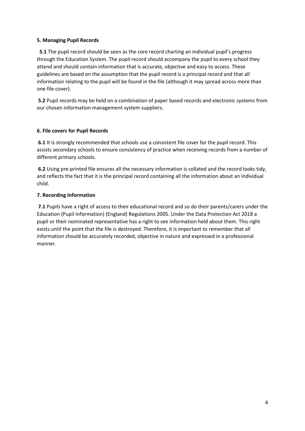# **5. Managing Pupil Records**

 **5.1** The pupil record should be seen as the core record charting an individual pupil's progress through the Education System. The pupil record should accompany the pupil to every school they attend and should contain information that is accurate, objective and easy to access. These guidelines are based on the assumption that the pupil record is a principal record and that all information relating to the pupil will be found in the file (although it may spread across more than one file cover).

**5.2** Pupil records may be held on a combination of paper based records and electronic systems from our chosen information management system suppliers.

# **6. File covers for Pupil Records**

**6.1** It is strongly recommended that schools use a consistent file cover for the pupil record. This assists secondary schools to ensure consistency of practice when receiving records from a number of different primary schools.

**6.2** Using pre-printed file ensures all the necessary information is collated and the record looks tidy, and reflects the fact that it is the principal record containing all the information about an individual child.

# **7. Recording Information**

**7.1** Pupils have a right of access to their educational record and so do their parents/carers under the Education (Pupil Information) (England) Regulations 2005. Under the Data Protection Act 2018 a pupil or their nominated representative has a right to see information held about them. This right exists until the point that the file is destroyed. Therefore, it is important to remember that all information should be accurately recorded, objective in nature and expressed in a professional manner.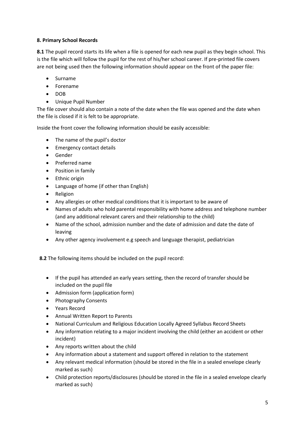# **8. Primary School Records**

**8.1** The pupil record starts its life when a file is opened for each new pupil as they begin school. This is the file which will follow the pupil for the rest of his/her school career. If pre-printed file covers are not being used then the following information should appear on the front of the paper file:

- Surname
- Forename
- $\bullet$  DOB
- Unique Pupil Number

The file cover should also contain a note of the date when the file was opened and the date when the file is closed if it is felt to be appropriate.

Inside the front cover the following information should be easily accessible:

- The name of the pupil's doctor
- Emergency contact details
- Gender
- Preferred name
- Position in family
- Ethnic origin
- Language of home (if other than English)
- Religion
- Any allergies or other medical conditions that it is important to be aware of
- Names of adults who hold parental responsibility with home address and telephone number (and any additional relevant carers and their relationship to the child)
- Name of the school, admission number and the date of admission and date the date of leaving
- Any other agency involvement e.g speech and language therapist, pediatrician

 **8.2** The following items should be included on the pupil record:

- If the pupil has attended an early years setting, then the record of transfer should be included on the pupil file
- Admission form (application form)
- Photography Consents
- Years Record
- Annual Written Report to Parents
- National Curriculum and Religious Education Locally Agreed Syllabus Record Sheets
- Any information relating to a major incident involving the child (either an accident or other incident)
- Any reports written about the child
- Any information about a statement and support offered in relation to the statement
- Any relevant medical information (should be stored in the file in a sealed envelope clearly marked as such)
- Child protection reports/disclosures (should be stored in the file in a sealed envelope clearly marked as such)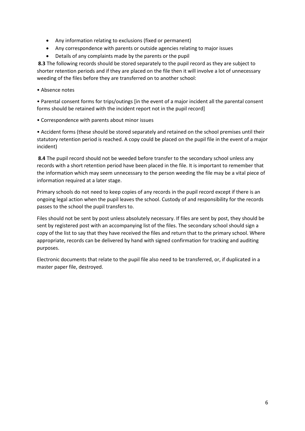- Any information relating to exclusions (fixed or permanent)
- Any correspondence with parents or outside agencies relating to major issues
- Details of any complaints made by the parents or the pupil

**8.3** The following records should be stored separately to the pupil record as they are subject to shorter retention periods and if they are placed on the file then it will involve a lot of unnecessary weeding of the files before they are transferred on to another school:

• Absence notes

• Parental consent forms for trips/outings [in the event of a major incident all the parental consent forms should be retained with the incident report not in the pupil record]

• Correspondence with parents about minor issues

• Accident forms (these should be stored separately and retained on the school premises until their statutory retention period is reached. A copy could be placed on the pupil file in the event of a major incident)

**8.4** The pupil record should not be weeded before transfer to the secondary school unless any records with a short retention period have been placed in the file. It is important to remember that the information which may seem unnecessary to the person weeding the file may be a vital piece of information required at a later stage.

Primary schools do not need to keep copies of any records in the pupil record except if there is an ongoing legal action when the pupil leaves the school. Custody of and responsibility for the records passes to the school the pupil transfers to.

Files should not be sent by post unless absolutely necessary. If files are sent by post, they should be sent by registered post with an accompanying list of the files. The secondary school should sign a copy of the list to say that they have received the files and return that to the primary school. Where appropriate, records can be delivered by hand with signed confirmation for tracking and auditing purposes.

Electronic documents that relate to the pupil file also need to be transferred, or, if duplicated in a master paper file, destroyed.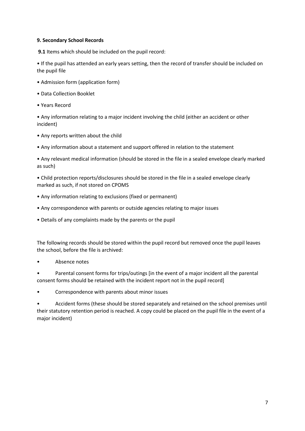# **9. Secondary School Records**

**9.1** Items which should be included on the pupil record:

• If the pupil has attended an early years setting, then the record of transfer should be included on the pupil file

- Admission form (application form)
- Data Collection Booklet
- Years Record

• Any information relating to a major incident involving the child (either an accident or other incident)

- Any reports written about the child
- Any information about a statement and support offered in relation to the statement

• Any relevant medical information (should be stored in the file in a sealed envelope clearly marked as such)

• Child protection reports/disclosures should be stored in the file in a sealed envelope clearly marked as such, if not stored on CPOMS

- Any information relating to exclusions (fixed or permanent)
- Any correspondence with parents or outside agencies relating to major issues
- Details of any complaints made by the parents or the pupil

The following records should be stored within the pupil record but removed once the pupil leaves the school, before the file is archived:

• Absence notes

• Parental consent forms for trips/outings [in the event of a major incident all the parental consent forms should be retained with the incident report not in the pupil record]

• Correspondence with parents about minor issues

• Accident forms (these should be stored separately and retained on the school premises until their statutory retention period is reached. A copy could be placed on the pupil file in the event of a major incident)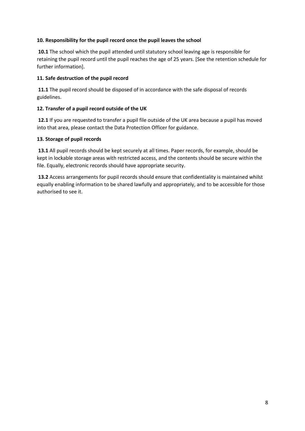# **10. Responsibility for the pupil record once the pupil leaves the school**

**10.1** The school which the pupil attended until statutory school leaving age is responsible for retaining the pupil record until the pupil reaches the age of 25 years. [See the retention schedule for further information].

# **11. Safe destruction of the pupil record**

**11.1** The pupil record should be disposed of in accordance with the safe disposal of records guidelines.

# **12. Transfer of a pupil record outside of the UK**

**12.1** If you are requested to transfer a pupil file outside of the UK area because a pupil has moved into that area, please contact the Data Protection Officer for guidance.

# **13. Storage of pupil records**

**13.1** All pupil records should be kept securely at all times. Paper records, for example, should be kept in lockable storage areas with restricted access, and the contents should be secure within the file. Equally, electronic records should have appropriate security.

**13.2** Access arrangements for pupil records should ensure that confidentiality is maintained whilst equally enabling information to be shared lawfully and appropriately, and to be accessible for those authorised to see it.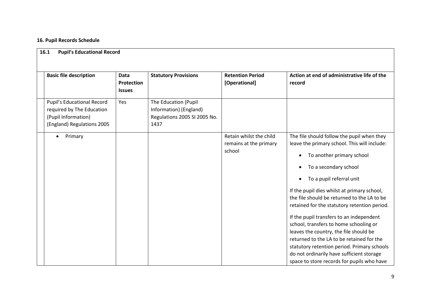# **16. Pupil Records Schedule**

| <b>Basic file description</b>                                                                                | <b>Data</b><br>Protection<br><b>Issues</b> | <b>Statutory Provisions</b>                                                            | <b>Retention Period</b><br>[Operational]                    | Action at end of administrative life of the<br>record                                                                                                                                                                                                                                                                                                                                                                                                                                                                                                                                                                                                               |
|--------------------------------------------------------------------------------------------------------------|--------------------------------------------|----------------------------------------------------------------------------------------|-------------------------------------------------------------|---------------------------------------------------------------------------------------------------------------------------------------------------------------------------------------------------------------------------------------------------------------------------------------------------------------------------------------------------------------------------------------------------------------------------------------------------------------------------------------------------------------------------------------------------------------------------------------------------------------------------------------------------------------------|
| Pupil's Educational Record<br>required by The Education<br>(Pupil Information)<br>(England) Regulations 2005 | Yes                                        | The Education (Pupil<br>Information) (England)<br>Regulations 2005 SI 2005 No.<br>1437 |                                                             |                                                                                                                                                                                                                                                                                                                                                                                                                                                                                                                                                                                                                                                                     |
| Primary<br>$\bullet$                                                                                         |                                            |                                                                                        | Retain whilst the child<br>remains at the primary<br>school | The file should follow the pupil when they<br>leave the primary school. This will include:<br>To another primary school<br>٠<br>To a secondary school<br>To a pupil referral unit<br>$\bullet$<br>If the pupil dies whilst at primary school,<br>the file should be returned to the LA to be<br>retained for the statutory retention period.<br>If the pupil transfers to an independent<br>school, transfers to home schooling or<br>leaves the country, the file should be<br>returned to the LA to be retained for the<br>statutory retention period. Primary schools<br>do not ordinarily have sufficient storage<br>space to store records for pupils who have |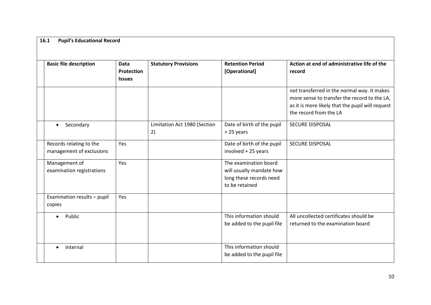| <b>Basic file description</b>                       | <b>Data</b><br>Protection<br><b>Issues</b> | <b>Statutory Provisions</b>        | <b>Retention Period</b><br>[Operational]                                                       | Action at end of administrative life of the<br>record                                                                                                                     |
|-----------------------------------------------------|--------------------------------------------|------------------------------------|------------------------------------------------------------------------------------------------|---------------------------------------------------------------------------------------------------------------------------------------------------------------------------|
|                                                     |                                            |                                    |                                                                                                | not transferred in the normal way. It makes<br>more sense to transfer the record to the LA,<br>as it is more likely that the pupil will request<br>the record from the LA |
| Secondary<br>$\bullet$                              |                                            | Limitation Act 1980 (Section<br>2) | Date of birth of the pupil<br>+25 years                                                        | <b>SECURE DISPOSAL</b>                                                                                                                                                    |
| Records relating to the<br>management of exclusions | Yes                                        |                                    | Date of birth of the pupil<br>involved + 25 years                                              | <b>SECURE DISPOSAL</b>                                                                                                                                                    |
| Management of<br>examination registrations          | Yes                                        |                                    | The examination board<br>will usually mandate how<br>long these records need<br>to be retained |                                                                                                                                                                           |
| Examination results - pupil<br>copies               | Yes                                        |                                    |                                                                                                |                                                                                                                                                                           |
| Public<br>$\bullet$                                 |                                            |                                    | This information should<br>be added to the pupil file                                          | All uncollected certificates should be<br>returned to the examination board                                                                                               |
| Internal                                            |                                            |                                    | This information should<br>be added to the pupil file                                          |                                                                                                                                                                           |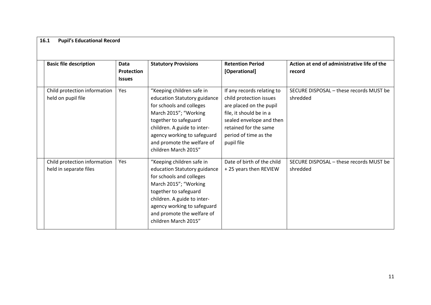| <b>Basic file description</b>                          | <b>Data</b><br><b>Protection</b><br><b>Issues</b> | <b>Statutory Provisions</b>                                                                                                                                                                                                                                 | <b>Retention Period</b><br>[Operational]                                                                                                                                                                | Action at end of administrative life of the<br>record |
|--------------------------------------------------------|---------------------------------------------------|-------------------------------------------------------------------------------------------------------------------------------------------------------------------------------------------------------------------------------------------------------------|---------------------------------------------------------------------------------------------------------------------------------------------------------------------------------------------------------|-------------------------------------------------------|
| Child protection information<br>held on pupil file     | Yes                                               | "Keeping children safe in<br>education Statutory guidance<br>for schools and colleges<br>March 2015"; "Working<br>together to safeguard<br>children. A guide to inter-<br>agency working to safeguard<br>and promote the welfare of<br>children March 2015" | If any records relating to<br>child protection issues<br>are placed on the pupil<br>file, it should be in a<br>sealed envelope and then<br>retained for the same<br>period of time as the<br>pupil file | SECURE DISPOSAL - these records MUST be<br>shredded   |
| Child protection information<br>held in separate files | Yes                                               | "Keeping children safe in<br>education Statutory guidance<br>for schools and colleges<br>March 2015"; "Working<br>together to safeguard<br>children. A guide to inter-<br>agency working to safeguard<br>and promote the welfare of<br>children March 2015" | Date of birth of the child<br>+25 years then REVIEW                                                                                                                                                     | SECURE DISPOSAL - these records MUST be<br>shredded   |